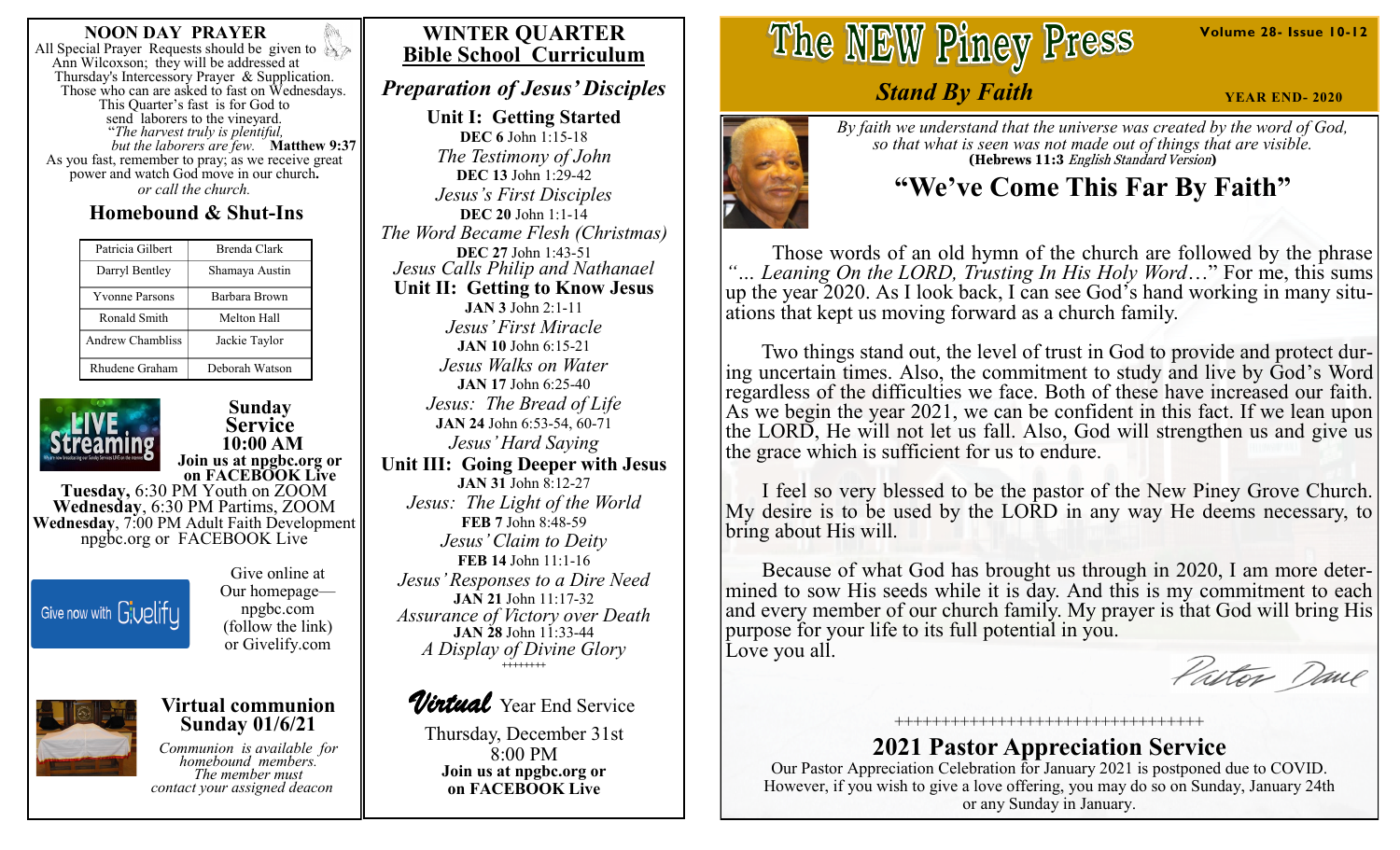#### **NOON DAY PRAYER**

All Special Prayer Requests should be given to Ann Wilcoxson; they will be addressed at Thursday's Intercessory Prayer & Supplication. Those who can are asked to fast on Wednesdays. This Quarter's fast is for God to send laborers to the vineyard. "*The harvest truly is plentiful, but the laborers are few.* **Matthew 9:37**  As you fast, remember to pray; as we receive great power and watch God move in our church**.** *or call the church.*

# **Homebound & Shut-Ins**

| Patricia Gilbert      | Brenda Clark   |
|-----------------------|----------------|
| Darryl Bentley        | Shamaya Austin |
| <b>Yvonne Parsons</b> | Barbara Brown  |
| Ronald Smith          | Melton Hall    |
| Andrew Chambliss      | Jackie Taylor  |
| Rhudene Graham        | Deborah Watson |



**Sunday Service 10:00 AM Join us at npgbc.org or on FACEBOOK Live** 

**Tuesday,** 6:30 PM Youth on ZOOM **Wednesday**, 6:30 PM Partims, ZOOM **Wednesday**, 7:00 PM Adult Faith Development npgbc.org or FACEBOOK Live



Give online at Our homepage npgbc.com (follow the link) or Givelify.com

**Virtual communion Sunday 01/6/21**

*Communion is available for homebound members. The member must contact your assigned deacon*

# **WINTER QUARTER Bible School Curriculum**

*Preparation of Jesus' Disciples*

**Unit I: Getting Started DEC 6** John 1:15-18 *The Testimony of John* **DEC 13** John 1:29-42 *Jesus's First Disciples* **DEC 20** John 1:1-14 *The Word Became Flesh (Christmas)* **DEC 27** John 1:43-51 *Jesus Calls Philip and Nathanael* **Unit II: Getting to Know Jesus JAN 3** John 2:1-11 *Jesus' First Miracle* **JAN 10** John 6:15-21 *Jesus Walks on Water* **JAN 17** John 6:25-40 *Jesus: The Bread of Life* **JAN 24** John 6:53-54, 60-71 *Jesus' Hard Saying* **Unit III: Going Deeper with Jesus JAN 31** John 8:12-27 *Jesus: The Light of the World* **FEB 7** John 8:48-59 *Jesus' Claim to Deity* **FEB 14** John 11:1-16 *Jesus' Responses to a Dire Need* **JAN 21** John 11:17-32 *Assurance of Victory over Death* **JAN 28** John 11:33-44 *A Display of Divine Glory* **++++++++**



Thursday, December 31st 8:00 PM **Join us at npgbc.org or on FACEBOOK Live** 

# The NEW Piney Press

*Stand By Faith*

*By faith we understand that the universe was created by the word of God, so that what is seen was not made out of things that are visible.* **(Hebrews 11:3** English Standard Version**)**

# **"We've Come This Far By Faith"**

 Those words of an old hymn of the church are followed by the phrase Leaning On the LORD, Trusting In His Holy Word..." For me, this sums up the year 2020. As I look back, I can see God's hand working in many situations that kept us moving forward as a church family.

 Two things stand out, the level of trust in God to provide and protect during uncertain times. Also, the commitment to study and live by God's Word regardless of the difficulties we face. Both of these have increased our faith. As we begin the year 2021, we can be confident in this fact. If we lean upon the LORD, He will not let us fall. Also, God will strengthen us and give us the grace which is sufficient for us to endure.

 I feel so very blessed to be the pastor of the New Piney Grove Church. My desire is to be used by the LORD in any way He deems necessary, to bring about His will.

 Because of what God has brought us through in 2020, I am more determined to sow His seeds while it is day. And this is my commitment to each and every member of our church family. My prayer is that God will bring His purpose for your life to its full potential in you. Love you all.

Pastor Dane

## +++++++++++++++++++++++++++++++++ **2021 Pastor Appreciation Service**

Our Pastor Appreciation Celebration for January 2021 is postponed due to COVID. However, if you wish to give a love offering, you may do so on Sunday, January 24th or any Sunday in January.

**Volume 28- Issue 10-12**

**YEAR END- 2020**